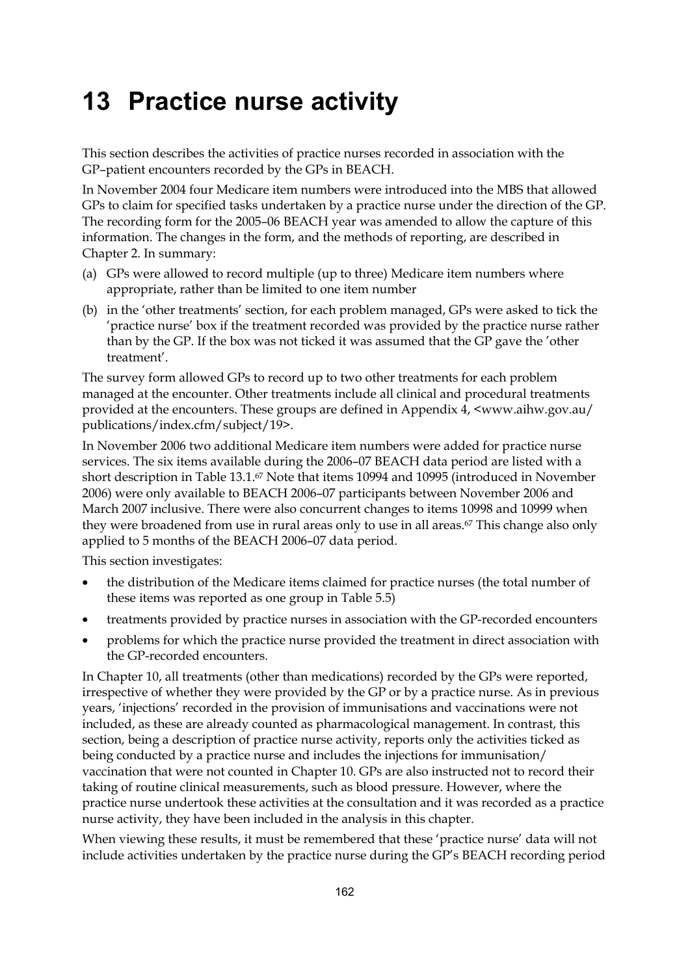# **13 Practice nurse activity**

This section describes the activities of practice nurses recorded in association with the GP–patient encounters recorded by the GPs in BEACH.

In November 2004 four Medicare item numbers were introduced into the MBS that allowed GPs to claim for specified tasks undertaken by a practice nurse under the direction of the GP. The recording form for the 2005–06 BEACH year was amended to allow the capture of this information. The changes in the form, and the methods of reporting, are described in Chapter 2. In summary:

- (a) GPs were allowed to record multiple (up to three) Medicare item numbers where appropriate, rather than be limited to one item number
- (b) in the 'other treatments' section, for each problem managed, GPs were asked to tick the 'practice nurse' box if the treatment recorded was provided by the practice nurse rather than by the GP. If the box was not ticked it was assumed that the GP gave the 'other treatment'.

The survey form allowed GPs to record up to two other treatments for each problem managed at the encounter. Other treatments include all clinical and procedural treatments provided at the encounters. These groups are defined in Appendix 4, <www.aihw.gov.au/ publications/index.cfm/subject/19>.

In November 2006 two additional Medicare item numbers were added for practice nurse services. The six items available during the 2006–07 BEACH data period are listed with a short description in Table 13.1.67 Note that items 10994 and 10995 (introduced in November 2006) were only available to BEACH 2006–07 participants between November 2006 and March 2007 inclusive. There were also concurrent changes to items 10998 and 10999 when they were broadened from use in rural areas only to use in all areas.<sup>67</sup> This change also only applied to 5 months of the BEACH 2006–07 data period.

This section investigates:

- the distribution of the Medicare items claimed for practice nurses (the total number of these items was reported as one group in Table 5.5)
- treatments provided by practice nurses in association with the GP-recorded encounters
- problems for which the practice nurse provided the treatment in direct association with the GP-recorded encounters.

In Chapter 10, all treatments (other than medications) recorded by the GPs were reported, irrespective of whether they were provided by the GP or by a practice nurse. As in previous years, 'injections' recorded in the provision of immunisations and vaccinations were not included, as these are already counted as pharmacological management. In contrast, this section, being a description of practice nurse activity, reports only the activities ticked as being conducted by a practice nurse and includes the injections for immunisation/ vaccination that were not counted in Chapter 10. GPs are also instructed not to record their taking of routine clinical measurements, such as blood pressure. However, where the practice nurse undertook these activities at the consultation and it was recorded as a practice nurse activity, they have been included in the analysis in this chapter.

When viewing these results, it must be remembered that these 'practice nurse' data will not include activities undertaken by the practice nurse during the GP's BEACH recording period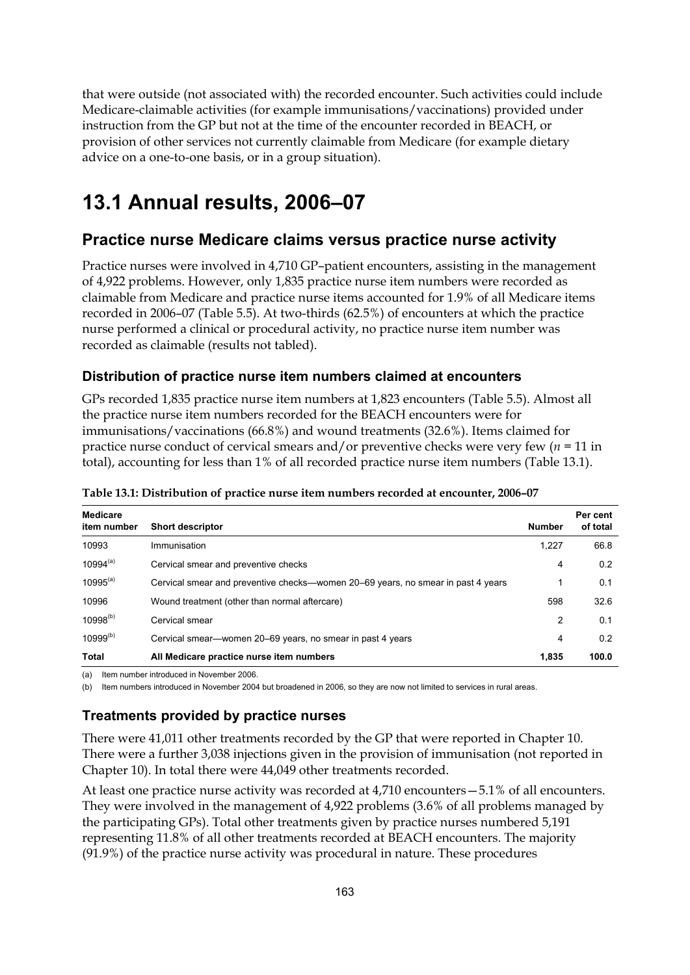that were outside (not associated with) the recorded encounter. Such activities could include Medicare-claimable activities (for example immunisations/vaccinations) provided under instruction from the GP but not at the time of the encounter recorded in BEACH, or provision of other services not currently claimable from Medicare (for example dietary advice on a one-to-one basis, or in a group situation).

## **13.1 Annual results, 2006–07**

## **Practice nurse Medicare claims versus practice nurse activity**

Practice nurses were involved in 4,710 GP–patient encounters, assisting in the management of 4,922 problems. However, only 1,835 practice nurse item numbers were recorded as claimable from Medicare and practice nurse items accounted for 1.9% of all Medicare items recorded in 2006–07 (Table 5.5). At two-thirds (62.5%) of encounters at which the practice nurse performed a clinical or procedural activity, no practice nurse item number was recorded as claimable (results not tabled).

### **Distribution of practice nurse item numbers claimed at encounters**

GPs recorded 1,835 practice nurse item numbers at 1,823 encounters (Table 5.5). Almost all the practice nurse item numbers recorded for the BEACH encounters were for immunisations/vaccinations (66.8%) and wound treatments (32.6%). Items claimed for practice nurse conduct of cervical smears and/or preventive checks were very few (*n =* 11 in total), accounting for less than 1% of all recorded practice nurse item numbers (Table 13.1).

| <b>Medicare</b><br>item number | <b>Short descriptor</b>                                                          | <b>Number</b> | Per cent<br>of total |
|--------------------------------|----------------------------------------------------------------------------------|---------------|----------------------|
| 10993                          | Immunisation                                                                     | 1.227         | 66.8                 |
| $10994^{(a)}$                  | Cervical smear and preventive checks                                             | 4             | 0.2                  |
| $10995^{(a)}$                  | Cervical smear and preventive checks—women 20–69 years, no smear in past 4 years | 1             | 0.1                  |
| 10996                          | Wound treatment (other than normal aftercare)                                    | 598           | 32.6                 |
| $10998^{(b)}$                  | Cervical smear                                                                   | 2             | 0.1                  |
| $10999^{(b)}$                  | Cervical smear—women 20–69 years, no smear in past 4 years                       | 4             | 0.2                  |
| Total                          | All Medicare practice nurse item numbers                                         | 1.835         | 100.0                |

**Table 13.1: Distribution of practice nurse item numbers recorded at encounter, 2006–07** 

(a) Item number introduced in November 2006.

(b) Item numbers introduced in November 2004 but broadened in 2006, so they are now not limited to services in rural areas.

### **Treatments provided by practice nurses**

There were 41,011 other treatments recorded by the GP that were reported in Chapter 10. There were a further 3,038 injections given in the provision of immunisation (not reported in Chapter 10). In total there were 44,049 other treatments recorded.

At least one practice nurse activity was recorded at 4,710 encounters—5.1% of all encounters. They were involved in the management of 4,922 problems (3.6% of all problems managed by the participating GPs). Total other treatments given by practice nurses numbered 5,191 representing 11.8% of all other treatments recorded at BEACH encounters. The majority (91.9%) of the practice nurse activity was procedural in nature. These procedures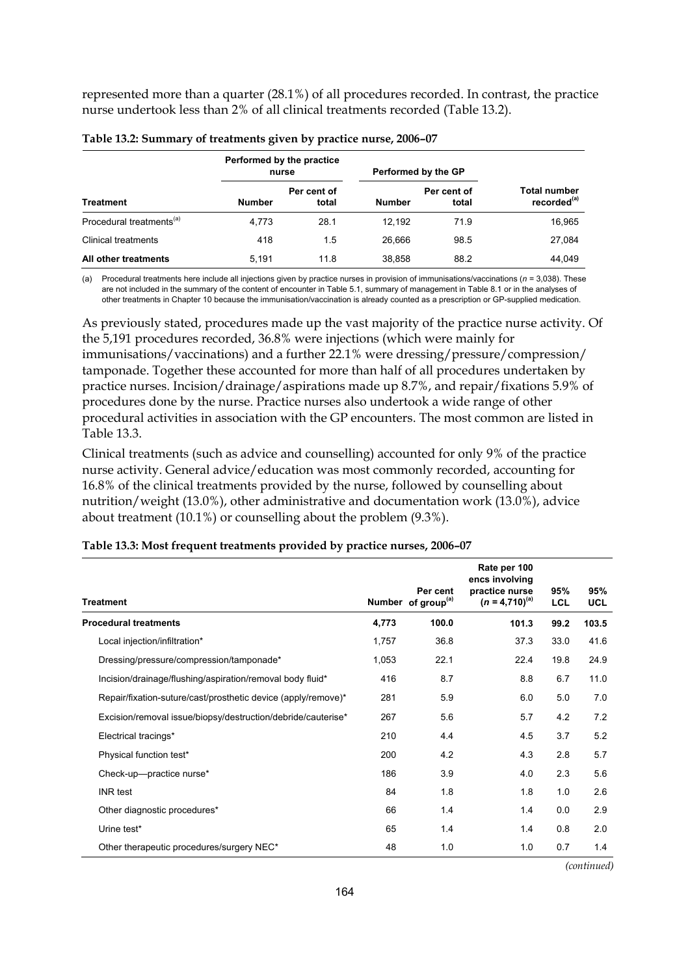represented more than a quarter (28.1%) of all procedures recorded. In contrast, the practice nurse undertook less than 2% of all clinical treatments recorded (Table 13.2).

|                                      | Performed by the practice<br>nurse |                      | Performed by the GP |                      |                                                |  |
|--------------------------------------|------------------------------------|----------------------|---------------------|----------------------|------------------------------------------------|--|
| Treatment                            | <b>Number</b>                      | Per cent of<br>total | <b>Number</b>       | Per cent of<br>total | <b>Total number</b><br>recorded <sup>(a)</sup> |  |
| Procedural treatments <sup>(a)</sup> | 4.773                              | 28.1                 | 12.192              | 71.9                 | 16,965                                         |  |
| <b>Clinical treatments</b>           | 418                                | 1.5                  | 26.666              | 98.5                 | 27,084                                         |  |
| All other treatments                 | 5.191                              | 11.8                 | 38,858              | 88.2                 | 44.049                                         |  |

| Table 13.2: Summary of treatments given by practice nurse, 2006-07 |  |  |  |  |
|--------------------------------------------------------------------|--|--|--|--|
|--------------------------------------------------------------------|--|--|--|--|

(a) Procedural treatments here include all injections given by practice nurses in provision of immunisations/vaccinations (*n =* 3,038). These are not included in the summary of the content of encounter in Table 5.1, summary of management in Table 8.1 or in the analyses of other treatments in Chapter 10 because the immunisation/vaccination is already counted as a prescription or GP-supplied medication.

As previously stated, procedures made up the vast majority of the practice nurse activity. Of the 5,191 procedures recorded, 36.8% were injections (which were mainly for immunisations/vaccinations) and a further 22.1% were dressing/pressure/compression/ tamponade. Together these accounted for more than half of all procedures undertaken by practice nurses. Incision/drainage/aspirations made up 8.7%, and repair/fixations 5.9% of procedures done by the nurse. Practice nurses also undertook a wide range of other procedural activities in association with the GP encounters. The most common are listed in Table 13.3.

Clinical treatments (such as advice and counselling) accounted for only 9% of the practice nurse activity. General advice/education was most commonly recorded, accounting for 16.8% of the clinical treatments provided by the nurse, followed by counselling about nutrition/weight (13.0%), other administrative and documentation work (13.0%), advice about treatment (10.1%) or counselling about the problem (9.3%).

| <b>Treatment</b>                                              |       | Per cent<br>Number of group <sup>(a)</sup> | Rate per 100<br>encs involving<br>practice nurse<br>$(n = 4.710)^{(a)}$ | 95%<br>LCL | 95%<br><b>UCL</b> |
|---------------------------------------------------------------|-------|--------------------------------------------|-------------------------------------------------------------------------|------------|-------------------|
| <b>Procedural treatments</b>                                  | 4,773 | 100.0                                      | 101.3                                                                   | 99.2       | 103.5             |
| Local injection/infiltration*                                 | 1,757 | 36.8                                       | 37.3                                                                    | 33.0       | 41.6              |
| Dressing/pressure/compression/tamponade*                      | 1,053 | 22.1                                       | 22.4                                                                    | 19.8       | 24.9              |
| Incision/drainage/flushing/aspiration/removal body fluid*     | 416   | 8.7                                        | 8.8                                                                     | 6.7        | 11.0              |
| Repair/fixation-suture/cast/prosthetic device (apply/remove)* | 281   | 5.9                                        | 6.0                                                                     | 5.0        | 7.0               |
| Excision/removal issue/biopsy/destruction/debride/cauterise*  | 267   | 5.6                                        | 5.7                                                                     | 4.2        | 7.2               |
| Electrical tracings*                                          | 210   | 4.4                                        | 4.5                                                                     | 3.7        | 5.2               |
| Physical function test*                                       | 200   | 4.2                                        | 4.3                                                                     | 2.8        | 5.7               |
| Check-up-practice nurse*                                      | 186   | 3.9                                        | 4.0                                                                     | 2.3        | 5.6               |
| <b>INR</b> test                                               | 84    | 1.8                                        | 1.8                                                                     | 1.0        | 2.6               |
| Other diagnostic procedures*                                  | 66    | 1.4                                        | 1.4                                                                     | 0.0        | 2.9               |
| Urine test*                                                   | 65    | 1.4                                        | 1.4                                                                     | 0.8        | 2.0               |
| Other therapeutic procedures/surgery NEC*                     | 48    | 1.0                                        | 1.0                                                                     | 0.7        | 1.4               |

#### **Table 13.3: Most frequent treatments provided by practice nurses, 2006–07**

*(continued)*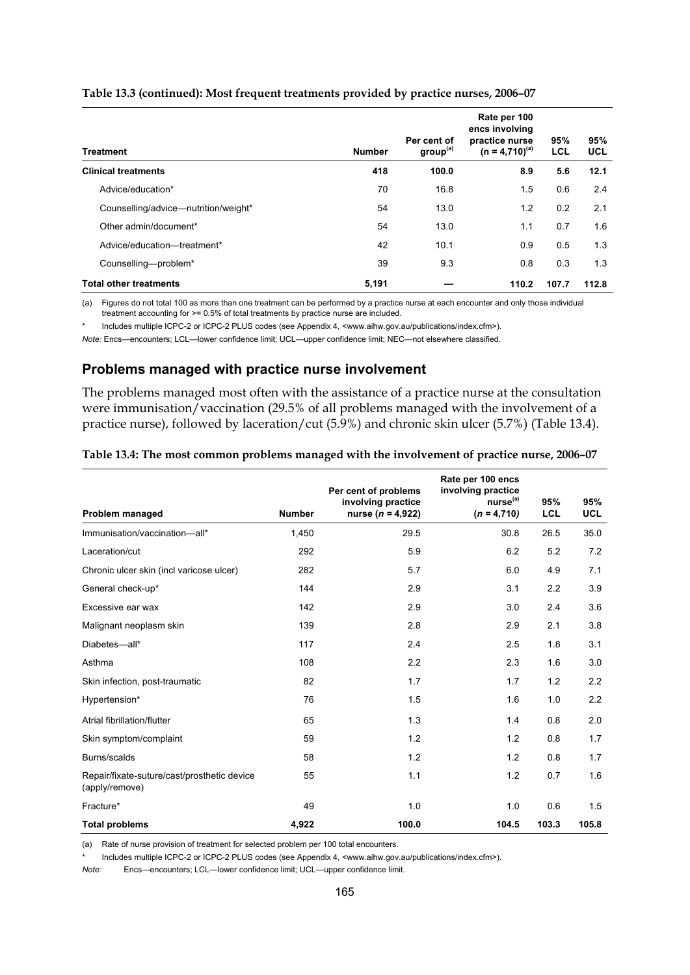| <b>Treatment</b>                     | <b>Number</b> | Per cent of<br>group <sup>(a)</sup> | Rate per 100<br>encs involving<br>practice nurse<br>$(n = 4,710)^{(a)}$ | 95%<br><b>LCL</b> | 95%<br><b>UCL</b> |
|--------------------------------------|---------------|-------------------------------------|-------------------------------------------------------------------------|-------------------|-------------------|
| <b>Clinical treatments</b>           | 418           | 100.0                               | 8.9                                                                     | 5.6               | 12.1              |
| Advice/education*                    | 70            | 16.8                                | 1.5                                                                     | 0.6               | 2.4               |
| Counselling/advice-nutrition/weight* | 54            | 13.0                                | 1.2                                                                     | 0.2               | 2.1               |
| Other admin/document*                | 54            | 13.0                                | 1.1                                                                     | 0.7               | 1.6               |
| Advice/education-treatment*          | 42            | 10.1                                | 0.9                                                                     | 0.5               | 1.3               |
| Counselling-problem*                 | 39            | 9.3                                 | 0.8                                                                     | 0.3               | 1.3               |
| <b>Total other treatments</b>        | 5,191         |                                     | 110.2                                                                   | 107.7             | 112.8             |

#### **Table 13.3 (continued): Most frequent treatments provided by practice nurses, 2006–07**

(a) Figures do not total 100 as more than one treatment can be performed by a practice nurse at each encounter and only those individual treatment accounting for >= 0.5% of total treatments by practice nurse are included.

Includes multiple ICPC-2 or ICPC-2 PLUS codes (see Appendix 4, <www.aihw.gov.au/publications/index.cfm>).

*Note:* Encs—encounters; LCL—lower confidence limit; UCL—upper confidence limit; NEC—not elsewhere classified.

#### **Problems managed with practice nurse involvement**

The problems managed most often with the assistance of a practice nurse at the consultation were immunisation/vaccination (29.5% of all problems managed with the involvement of a practice nurse), followed by laceration/cut (5.9%) and chronic skin ulcer (5.7%) (Table 13.4).

| Table 13.4: The most common problems managed with the involvement of practice nurse, 2006-07 |  |  |
|----------------------------------------------------------------------------------------------|--|--|
|                                                                                              |  |  |

|                                                               |               | Per cent of problems<br>involving practice | Rate per 100 encs<br>involving practice<br>nurse <sup>(a)</sup> | 95%        | 95%        |
|---------------------------------------------------------------|---------------|--------------------------------------------|-----------------------------------------------------------------|------------|------------|
| Problem managed                                               | <b>Number</b> | nurse ( $n = 4,922$ )                      | $(n = 4,710)$                                                   | <b>LCL</b> | <b>UCL</b> |
| Immunisation/vaccination-all*                                 | 1,450         | 29.5                                       | 30.8                                                            | 26.5       | 35.0       |
| Laceration/cut                                                | 292           | 5.9                                        | 6.2                                                             | 5.2        | 7.2        |
| Chronic ulcer skin (incl varicose ulcer)                      | 282           | 5.7                                        | 6.0                                                             | 4.9        | 7.1        |
| General check-up*                                             | 144           | 2.9                                        | 3.1                                                             | 2.2        | 3.9        |
| Excessive ear wax                                             | 142           | 2.9                                        | 3.0                                                             | 2.4        | 3.6        |
| Malignant neoplasm skin                                       | 139           | 2.8                                        | 2.9                                                             | 2.1        | 3.8        |
| Diabetes-all*                                                 | 117           | 2.4                                        | 2.5                                                             | 1.8        | 3.1        |
| Asthma                                                        | 108           | 2.2                                        | 2.3                                                             | 1.6        | 3.0        |
| Skin infection, post-traumatic                                | 82            | 1.7                                        | 1.7                                                             | 1.2        | 2.2        |
| Hypertension*                                                 | 76            | 1.5                                        | 1.6                                                             | 1.0        | 2.2        |
| Atrial fibrillation/flutter                                   | 65            | 1.3                                        | 1.4                                                             | 0.8        | 2.0        |
| Skin symptom/complaint                                        | 59            | 1.2                                        | 1.2                                                             | 0.8        | 1.7        |
| Burns/scalds                                                  | 58            | 1.2                                        | 1.2                                                             | 0.8        | 1.7        |
| Repair/fixate-suture/cast/prosthetic device<br>(apply/remove) | 55            | 1.1                                        | 1.2                                                             | 0.7        | 1.6        |
| Fracture*                                                     | 49            | 1.0                                        | 1.0                                                             | 0.6        | 1.5        |
| <b>Total problems</b>                                         | 4,922         | 100.0                                      | 104.5                                                           | 103.3      | 105.8      |

(a) Rate of nurse provision of treatment for selected problem per 100 total encounters.

Includes multiple ICPC-2 or ICPC-2 PLUS codes (see Appendix 4, <www.aihw.gov.au/publications/index.cfm>).

*Note:* Encs—encounters; LCL—lower confidence limit; UCL—upper confidence limit.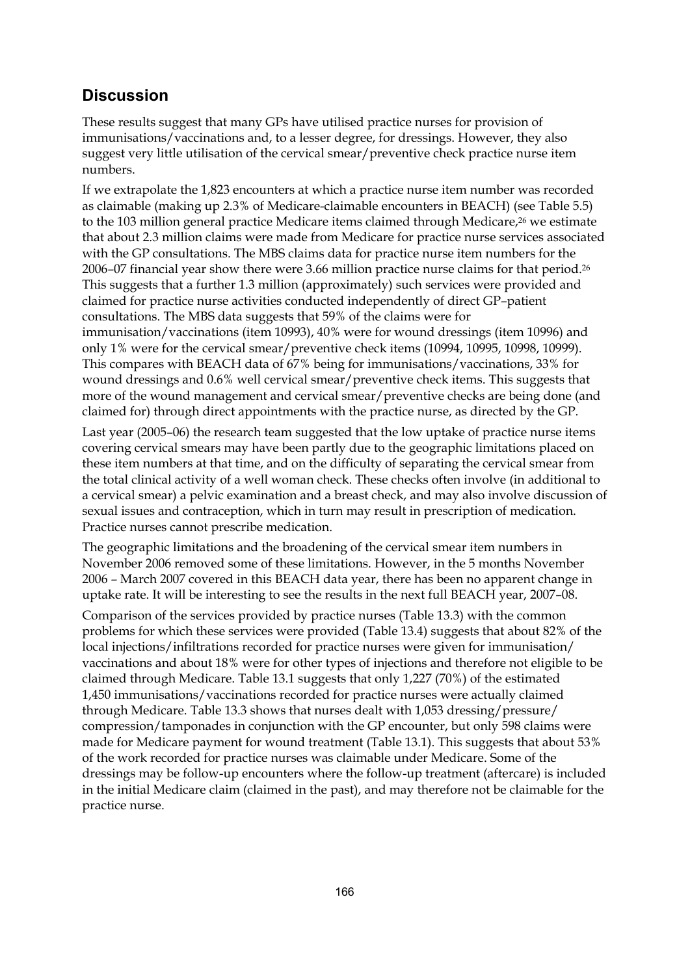## **Discussion**

These results suggest that many GPs have utilised practice nurses for provision of immunisations/vaccinations and, to a lesser degree, for dressings. However, they also suggest very little utilisation of the cervical smear/preventive check practice nurse item numbers.

If we extrapolate the 1,823 encounters at which a practice nurse item number was recorded as claimable (making up 2.3% of Medicare-claimable encounters in BEACH) (see Table 5.5) to the 103 million general practice Medicare items claimed through Medicare,<sup>26</sup> we estimate that about 2.3 million claims were made from Medicare for practice nurse services associated with the GP consultations. The MBS claims data for practice nurse item numbers for the 2006–07 financial year show there were 3.66 million practice nurse claims for that period.26 This suggests that a further 1.3 million (approximately) such services were provided and claimed for practice nurse activities conducted independently of direct GP–patient consultations. The MBS data suggests that 59% of the claims were for immunisation/vaccinations (item 10993), 40% were for wound dressings (item 10996) and only 1% were for the cervical smear/preventive check items (10994, 10995, 10998, 10999). This compares with BEACH data of 67% being for immunisations/vaccinations, 33% for wound dressings and 0.6% well cervical smear/preventive check items. This suggests that more of the wound management and cervical smear/preventive checks are being done (and claimed for) through direct appointments with the practice nurse, as directed by the GP.

Last year (2005–06) the research team suggested that the low uptake of practice nurse items covering cervical smears may have been partly due to the geographic limitations placed on these item numbers at that time, and on the difficulty of separating the cervical smear from the total clinical activity of a well woman check. These checks often involve (in additional to a cervical smear) a pelvic examination and a breast check, and may also involve discussion of sexual issues and contraception, which in turn may result in prescription of medication. Practice nurses cannot prescribe medication.

The geographic limitations and the broadening of the cervical smear item numbers in November 2006 removed some of these limitations. However, in the 5 months November 2006 – March 2007 covered in this BEACH data year, there has been no apparent change in uptake rate. It will be interesting to see the results in the next full BEACH year, 2007–08.

Comparison of the services provided by practice nurses (Table 13.3) with the common problems for which these services were provided (Table 13.4) suggests that about 82% of the local injections/infiltrations recorded for practice nurses were given for immunisation/ vaccinations and about 18% were for other types of injections and therefore not eligible to be claimed through Medicare. Table 13.1 suggests that only 1,227 (70%) of the estimated 1,450 immunisations/vaccinations recorded for practice nurses were actually claimed through Medicare. Table 13.3 shows that nurses dealt with 1,053 dressing/pressure/ compression/tamponades in conjunction with the GP encounter, but only 598 claims were made for Medicare payment for wound treatment (Table 13.1). This suggests that about 53% of the work recorded for practice nurses was claimable under Medicare. Some of the dressings may be follow-up encounters where the follow-up treatment (aftercare) is included in the initial Medicare claim (claimed in the past), and may therefore not be claimable for the practice nurse.